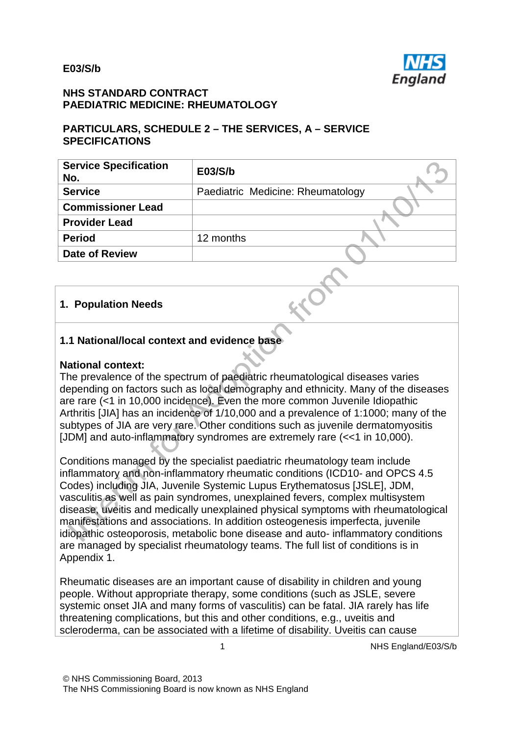

#### **NHS STANDARD CONTRACT PAEDIATRIC MEDICINE: RHEUMATOLOGY**

#### **PARTICULARS, SCHEDULE 2 – THE SERVICES, A – SERVICE SPECIFICATIONS**

| <b>Service Specification</b><br>No. | E03/S/b                           |
|-------------------------------------|-----------------------------------|
| <b>Service</b>                      | Paediatric Medicine: Rheumatology |
| <b>Commissioner Lead</b>            |                                   |
| <b>Provider Lead</b>                |                                   |
| <b>Period</b>                       | 12 months                         |
| <b>Date of Review</b>               |                                   |

#### **1. Population Needs**

### **1.1 National/local context and evidence base**

#### **National context:**

The prevalence of the spectrum of paediatric rheumatological diseases varies depending on factors such as local demography and ethnicity. Many of the diseases are rare (<1 in 10,000 incidence). Even the more common Juvenile Idiopathic Arthritis [JIA] has an incidence of 1/10,000 and a prevalence of 1:1000; many of the subtypes of JIA are very rare. Other conditions such as juvenile dermatomyositis [JDM] and auto-inflammatory syndromes are extremely rare (<<1 in 10,000).

Conditions managed by the specialist paediatric rheumatology team include inflammatory and non-inflammatory rheumatic conditions (ICD10- and OPCS 4.5 Codes) including JIA, Juvenile Systemic Lupus Erythematosus [JSLE], JDM, vasculitis as well as pain syndromes, unexplained fevers, complex multisystem disease, uveitis and medically unexplained physical symptoms with rheumatological manifestations and associations. In addition osteogenesis imperfecta, juvenile idiopathic osteoporosis, metabolic bone disease and auto- inflammatory conditions are managed by specialist rheumatology teams. The full list of conditions is in Appendix 1.

Rheumatic diseases are an important cause of disability in children and young people. Without appropriate therapy, some conditions (such as JSLE, severe systemic onset JIA and many forms of vasculitis) can be fatal. JIA rarely has life threatening complications, but this and other conditions, e.g., uveitis and scleroderma, can be associated with a lifetime of disability. Uveitis can cause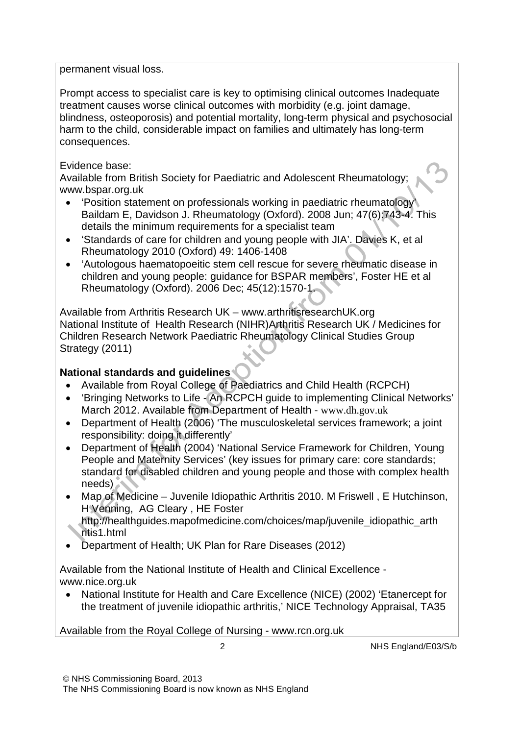permanent visual loss.

Prompt access to specialist care is key to optimising clinical outcomes Inadequate treatment causes worse clinical outcomes with morbidity (e.g. joint damage, blindness, osteoporosis) and potential mortality, long-term physical and psychosocial harm to the child, considerable impact on families and ultimately has long-term consequences.

### Evidence base:

Available from British Society for Paediatric and Adolescent Rheumatology; www.bspar.org.uk

- 'Position statement on professionals working in paediatric rheumatology' Baildam E, Davidson J. Rheumatology (Oxford). 2008 Jun; 47(6):743-4. This details the minimum requirements for a specialist team
- 'Standards of care for children and young people with JIA'. Davies K, et al Rheumatology 2010 (Oxford) 49: 1406-1408
- 'Autologous haematopoeitic stem cell rescue for severe rheumatic disease in children and young people: guidance for BSPAR members', Foster HE et al Rheumatology (Oxford). 2006 Dec; 45(12):1570-1.

Available from Arthritis Research UK – www.arthritisresearchUK.org National Institute of Health Research (NIHR)Arthritis Research UK / Medicines for Children Research Network Paediatric Rheumatology Clinical Studies Group Strategy (2011)

## **National standards and guidelines**

- Available from Royal College of Paediatrics and Child Health (RCPCH)
- 'Bringing Networks to Life An RCPCH guide to implementing Clinical Networks' March 2012. Available from Department of Health - [www.dh.gov.uk](http://www.dh.gov.uk/)
- Department of Health (2006) 'The musculoskeletal services framework; a joint responsibility: doing it differently'
- Department of Health (2004) 'National Service Framework for Children, Young People and Maternity Services' (key issues for primary care: core standards; standard for disabled children and young people and those with complex health needs)
- Map of Medicine Juvenile Idiopathic Arthritis 2010. M Friswell , E Hutchinson, H Venning, AG Cleary , HE Foster http://healthquides.mapofmedicine.com/choices/map/juvenile\_idiopathic\_arth
- ritis1.html
- Department of Health; UK Plan for Rare Diseases (2012)

Available from the National Institute of Health and Clinical Excellence www.nice.org.uk

• National Institute for Health and Care Excellence (NICE) (2002) 'Etanercept for the treatment of juvenile idiopathic arthritis,' NICE Technology Appraisal, TA35

Available from the Royal College of Nursing - [www.rcn.org.uk](http://www.rcn.org.uk/)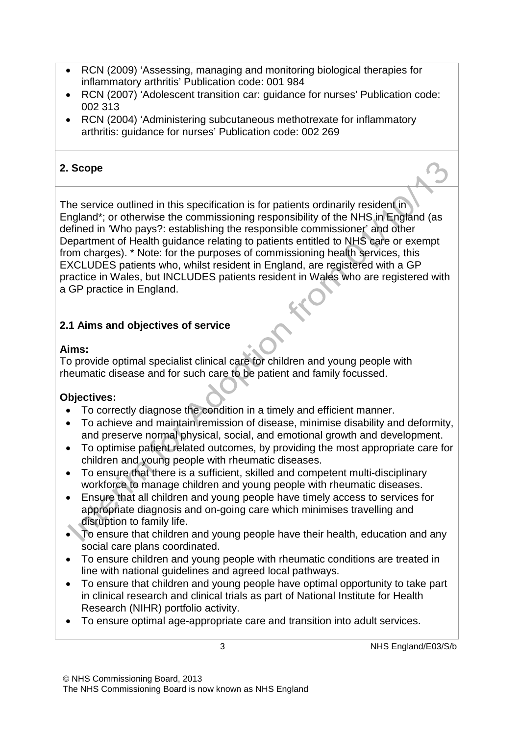- RCN (2009) 'Assessing, managing and monitoring biological therapies for inflammatory arthritis' Publication code: 001 984
- RCN (2007) 'Adolescent transition car: guidance for nurses' Publication code: 002 313
- RCN (2004) 'Administering subcutaneous methotrexate for inflammatory arthritis: guidance for nurses' Publication code: 002 269

## **2. Scope**

The service outlined in this specification is for patients ordinarily resident in England\*; or otherwise the commissioning responsibility of the NHS in England (as defined in 'Who pays?: establishing the responsible commissioner' and other Department of Health guidance relating to patients entitled to NHS care or exempt from charges). \* Note: for the purposes of commissioning health services, this EXCLUDES patients who, whilst resident in England, are registered with a GP practice in Wales, but INCLUDES patients resident in Wales who are registered with a GP practice in England.

# **2.1 Aims and objectives of service**

## **Aims:**

To provide optimal specialist clinical care for children and young people with rheumatic disease and for such care to be patient and family focussed.

## **Objectives:**

- To correctly diagnose the condition in a timely and efficient manner.
- To achieve and maintain remission of disease, minimise disability and deformity, and preserve normal physical, social, and emotional growth and development.
- To optimise patient related outcomes, by providing the most appropriate care for children and young people with rheumatic diseases.
- To ensure that there is a sufficient, skilled and competent multi-disciplinary workforce to manage children and young people with rheumatic diseases.
- Ensure that all children and young people have timely access to services for appropriate diagnosis and on-going care which minimises travelling and disruption to family life.
- To ensure that children and young people have their health, education and any social care plans coordinated.
- To ensure children and young people with rheumatic conditions are treated in line with national guidelines and agreed local pathways.
- To ensure that children and young people have optimal opportunity to take part in clinical research and clinical trials as part of National Institute for Health Research (NIHR) portfolio activity.
- To ensure optimal age-appropriate care and transition into adult services.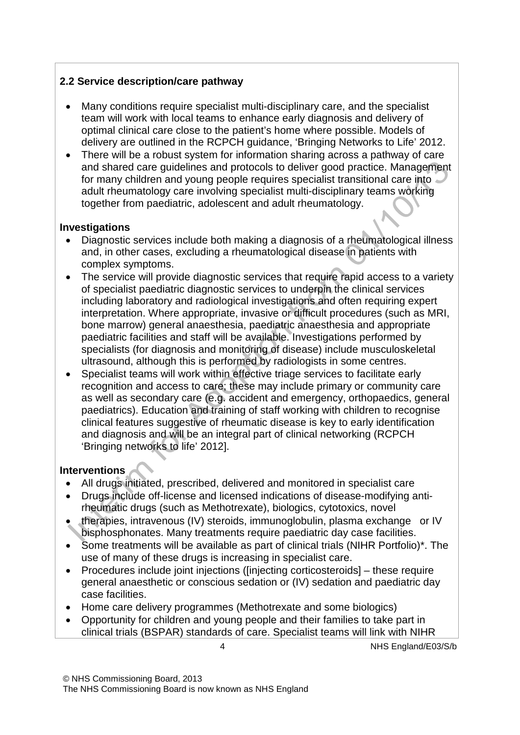## **2.2 Service description/care pathway**

- Many conditions require specialist multi-disciplinary care, and the specialist team will work with local teams to enhance early diagnosis and delivery of optimal clinical care close to the patient's home where possible. Models of delivery are outlined in the RCPCH guidance, 'Bringing Networks to Life' 2012.
- There will be a robust system for information sharing across a pathway of care and shared care guidelines and protocols to deliver good practice. Management for many children and young people requires specialist transitional care into adult rheumatology care involving specialist multi-disciplinary teams working together from paediatric, adolescent and adult rheumatology.

### **Investigations**

- Diagnostic services include both making a diagnosis of a rheumatological illness and, in other cases, excluding a rheumatological disease in patients with complex symptoms.
- The service will provide diagnostic services that require rapid access to a variety of specialist paediatric diagnostic services to underpin the clinical services including laboratory and radiological investigations and often requiring expert interpretation. Where appropriate, invasive or difficult procedures (such as MRI, bone marrow) general anaesthesia, paediatric anaesthesia and appropriate paediatric facilities and staff will be available. Investigations performed by specialists (for diagnosis and monitoring of disease) include musculoskeletal ultrasound, although this is performed by radiologists in some centres.
- Specialist teams will work within effective triage services to facilitate early recognition and access to care; these may include primary or community care as well as secondary care (e.g. accident and emergency, orthopaedics, general paediatrics). Education and training of staff working with children to recognise clinical features suggestive of rheumatic disease is key to early identification and diagnosis and will be an integral part of clinical networking (RCPCH 'Bringing networks to life' 2012].

### **Interventions**

- All drugs initiated, prescribed, delivered and monitored in specialist care
- Drugs include off-license and licensed indications of disease-modifying antirheumatic drugs (such as Methotrexate), biologics, cytotoxics, novel
- therapies, intravenous (IV) steroids, immunoglobulin, plasma exchange or IV bisphosphonates. Many treatments require paediatric day case facilities.
- Some treatments will be available as part of clinical trials (NIHR Portfolio)\*. The use of many of these drugs is increasing in specialist care.
- Procedures include joint injections ([injecting corticosteroids] these require general anaesthetic or conscious sedation or (IV) sedation and paediatric day case facilities.
- Home care delivery programmes (Methotrexate and some biologics)
- Opportunity for children and young people and their families to take part in clinical trials (BSPAR) standards of care. Specialist teams will link with NIHR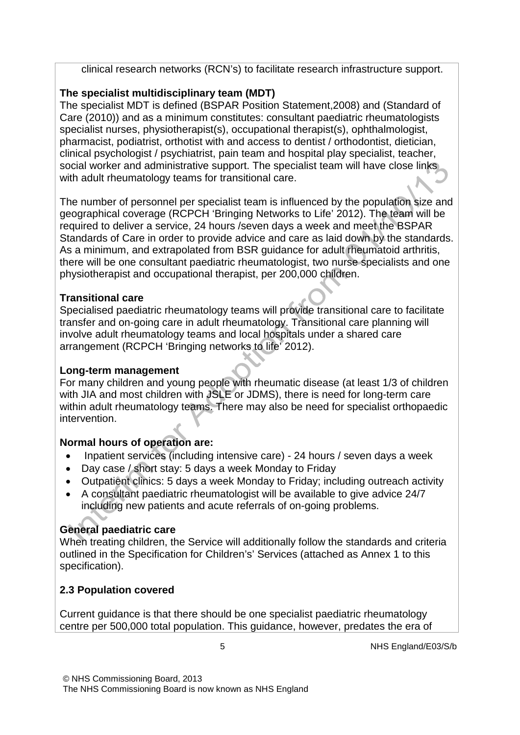clinical research networks (RCN's) to facilitate research infrastructure support.

# **The specialist multidisciplinary team (MDT)**

The specialist MDT is defined (BSPAR Position Statement,2008) and (Standard of Care (2010)) and as a minimum constitutes: consultant paediatric rheumatologists specialist nurses, physiotherapist(s), occupational therapist(s), ophthalmologist, pharmacist, podiatrist, orthotist with and access to dentist / orthodontist, dietician, clinical psychologist / psychiatrist, pain team and hospital play specialist, teacher, social worker and administrative support. The specialist team will have close links with adult rheumatology teams for transitional care.

The number of personnel per specialist team is influenced by the population size and geographical coverage (RCPCH 'Bringing Networks to Life' 2012). The team will be required to deliver a service, 24 hours /seven days a week and meet the BSPAR Standards of Care in order to provide advice and care as laid down by the standards. As a minimum, and extrapolated from BSR guidance for adult rheumatoid arthritis, there will be one consultant paediatric rheumatologist, two nurse specialists and one physiotherapist and occupational therapist, per 200,000 children.

## **Transitional care**

Specialised paediatric rheumatology teams will provide transitional care to facilitate transfer and on-going care in adult rheumatology. Transitional care planning will involve adult rheumatology teams and local hospitals under a shared care arrangement (RCPCH 'Bringing networks to life' 2012).

## **Long-term management**

For many children and young people with rheumatic disease (at least 1/3 of children with JIA and most children with JSLE or JDMS), there is need for long-term care within adult rheumatology teams. There may also be need for specialist orthopaedic intervention.

# **Normal hours of operation are:**

- Inpatient services (including intensive care) 24 hours / seven days a week
- Day case / short stay: 5 days a week Monday to Friday
- Outpatient clinics: 5 days a week Monday to Friday; including outreach activity
- A consultant paediatric rheumatologist will be available to give advice 24/7 including new patients and acute referrals of on-going problems.

# **General paediatric care**

When treating children, the Service will additionally follow the standards and criteria outlined in the Specification for Children's' Services (attached as Annex 1 to this specification).

# **2.3 Population covered**

Current guidance is that there should be one specialist paediatric rheumatology centre per 500,000 total population. This guidance, however, predates the era of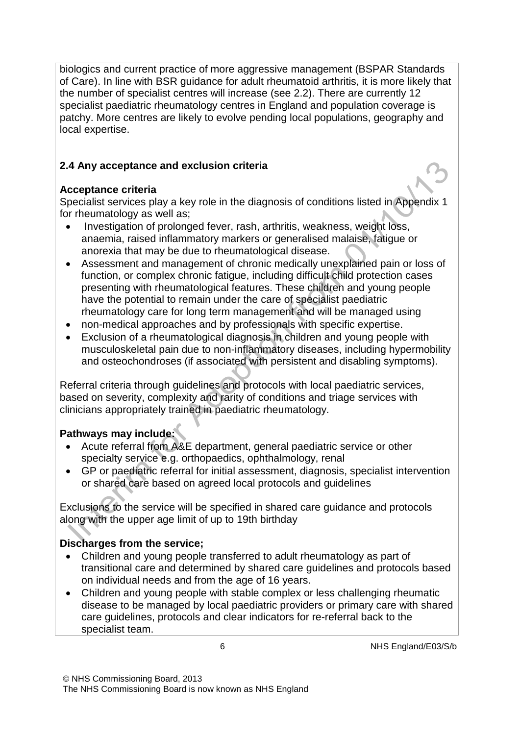biologics and current practice of more aggressive management (BSPAR Standards of Care). In line with BSR guidance for adult rheumatoid arthritis, it is more likely that the number of specialist centres will increase (see 2.2). There are currently 12 specialist paediatric rheumatology centres in England and population coverage is patchy. More centres are likely to evolve pending local populations, geography and local expertise.

# **2.4 Any acceptance and exclusion criteria**

## **Acceptance criteria**

Specialist services play a key role in the diagnosis of conditions listed in Appendix 1 for rheumatology as well as;

- Investigation of prolonged fever, rash, arthritis, weakness, weight loss, anaemia, raised inflammatory markers or generalised malaise, fatigue or anorexia that may be due to rheumatological disease.
- Assessment and management of chronic medically unexplained pain or loss of function, or complex chronic fatigue, including difficult child protection cases presenting with rheumatological features. These children and young people have the potential to remain under the care of specialist paediatric rheumatology care for long term management and will be managed using
- non-medical approaches and by professionals with specific expertise.
- Exclusion of a rheumatological diagnosis in children and young people with musculoskeletal pain due to non-inflammatory diseases, including hypermobility and osteochondroses (if associated with persistent and disabling symptoms).

Referral criteria through guidelines and protocols with local paediatric services, based on severity, complexity and rarity of conditions and triage services with clinicians appropriately trained in paediatric rheumatology.

## **Pathways may include:**

- Acute referral from A&E department, general paediatric service or other specialty service e.g. orthopaedics, ophthalmology, renal
- GP or paediatric referral for initial assessment, diagnosis, specialist intervention or shared care based on agreed local protocols and guidelines

Exclusions to the service will be specified in shared care guidance and protocols along with the upper age limit of up to 19th birthday

## **Discharges from the service;**

- Children and young people transferred to adult rheumatology as part of transitional care and determined by shared care guidelines and protocols based on individual needs and from the age of 16 years.
- Children and young people with stable complex or less challenging rheumatic disease to be managed by local paediatric providers or primary care with shared care guidelines, protocols and clear indicators for re-referral back to the specialist team.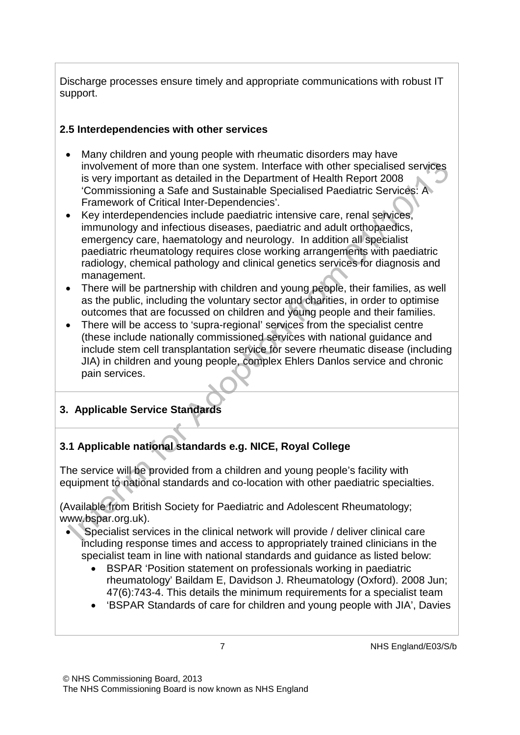Discharge processes ensure timely and appropriate communications with robust IT support.

### **2.5 Interdependencies with other services**

- Many children and young people with rheumatic disorders may have involvement of more than one system. Interface with other specialised services is very important as detailed in the Department of Health Report 2008 'Commissioning a Safe and Sustainable Specialised Paediatric Services: A Framework of Critical Inter-Dependencies'.
- Key interdependencies include paediatric intensive care, renal services, immunology and infectious diseases, paediatric and adult orthopaedics, emergency care, haematology and neurology. In addition all specialist paediatric rheumatology requires close working arrangements with paediatric radiology, chemical pathology and clinical genetics services for diagnosis and management.
- There will be partnership with children and young people, their families, as well as the public, including the voluntary sector and charities, in order to optimise outcomes that are focussed on children and young people and their families.
- There will be access to 'supra-regional' services from the specialist centre (these include nationally commissioned services with national guidance and include stem cell transplantation service for severe rheumatic disease (including JIA) in children and young people, complex Ehlers Danlos service and chronic pain services.

# **3. Applicable Service Standards**

# **3.1 Applicable national standards e.g. NICE, Royal College**

The service will be provided from a children and young people's facility with equipment to national standards and co-location with other paediatric specialties.

(Available from British Society for Paediatric and Adolescent Rheumatology; [www.bspar.org.uk\)](http://www.bspar.org.uk/).

- Specialist services in the clinical network will provide / deliver clinical care including response times and access to appropriately trained clinicians in the specialist team in line with national standards and guidance as listed below:
	- BSPAR 'Position statement on professionals working in paediatric rheumatology' Baildam E, Davidson J. Rheumatology (Oxford). 2008 Jun; 47(6):743-4. This details the minimum requirements for a specialist team
	- 'BSPAR Standards of care for children and young people with JIA', Davies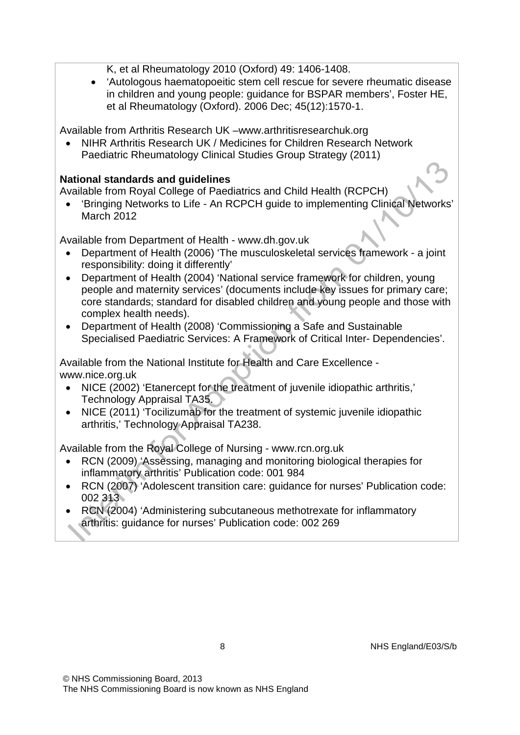K, et al Rheumatology 2010 (Oxford) 49: 1406-1408.

• 'Autologous haematopoeitic stem cell rescue for severe rheumatic disease in children and young people: guidance for BSPAR members', Foster HE, et al Rheumatology (Oxford). 2006 Dec; 45(12):1570-1.

Available from Arthritis Research UK –www.arthritisresearchuk.org

• NIHR Arthritis Research UK / Medicines for Children Research Network Paediatric Rheumatology Clinical Studies Group Strategy (2011)

### **National standards and guidelines**

Available from Royal College of Paediatrics and Child Health (RCPCH)

• 'Bringing Networks to Life - An RCPCH guide to implementing Clinical Networks' March 2012

Available from Department of Health - [www.dh.gov.uk](http://www.dh.gov.uk/)

- Department of Health (2006) 'The musculoskeletal services framework a joint responsibility: doing it differently'
- Department of Health (2004) 'National service framework for children, young people and maternity services' (documents include key issues for primary care; core standards; standard for disabled children and young people and those with complex health needs).
- Department of Health (2008) 'Commissioning a Safe and Sustainable Specialised Paediatric Services: A Framework of Critical Inter- Dependencies'.

Available from the National Institute for Health and Care Excellence [www.nice.org.uk](http://www.nice.org.uk/)

- NICE (2002) 'Etanercept for the treatment of juvenile idiopathic arthritis,' Technology Appraisal TA35.
- NICE (2011) 'Tocilizumab for the treatment of systemic juvenile idiopathic arthritis,' Technology Appraisal TA238.

Available from the Royal College of Nursing - [www.rcn.org.uk](http://www.rcn.org.uk/)

- RCN (2009) 'Assessing, managing and monitoring biological therapies for inflammatory arthritis' Publication code: 001 984
- RCN (2007) 'Adolescent transition care: guidance for nurses' Publication code: 002 313
- RCN (2004) 'Administering subcutaneous methotrexate for inflammatory arthritis: guidance for nurses' Publication code: 002 269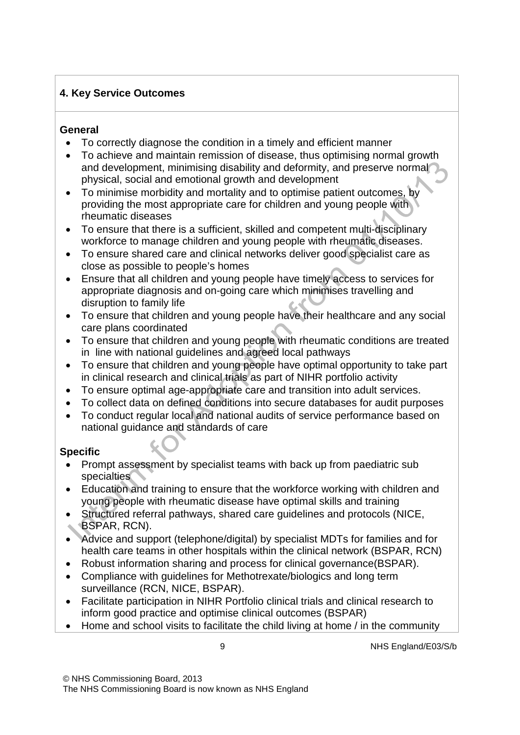### **4. Key Service Outcomes**

### **General**

- To correctly diagnose the condition in a timely and efficient manner
- To achieve and maintain remission of disease, thus optimising normal growth and development, minimising disability and deformity, and preserve normal physical, social and emotional growth and development
- To minimise morbidity and mortality and to optimise patient outcomes, by providing the most appropriate care for children and young people with rheumatic diseases
- To ensure that there is a sufficient, skilled and competent multi-disciplinary workforce to manage children and young people with rheumatic diseases.
- To ensure shared care and clinical networks deliver good specialist care as close as possible to people's homes
- Ensure that all children and young people have timely access to services for appropriate diagnosis and on-going care which minimises travelling and disruption to family life
- To ensure that children and young people have their healthcare and any social care plans coordinated
- To ensure that children and young people with rheumatic conditions are treated in line with national guidelines and agreed local pathways
- To ensure that children and young people have optimal opportunity to take part in clinical research and clinical trials as part of NIHR portfolio activity
- To ensure optimal age-appropriate care and transition into adult services.
- To collect data on defined conditions into secure databases for audit purposes
- To conduct regular local and national audits of service performance based on national guidance and standards of care

## **Specific**

- Prompt assessment by specialist teams with back up from paediatric sub specialties
- Education and training to ensure that the workforce working with children and young people with rheumatic disease have optimal skills and training
- Structured referral pathways, shared care guidelines and protocols (NICE, BSPAR, RCN).
- Advice and support (telephone/digital) by specialist MDTs for families and for health care teams in other hospitals within the clinical network (BSPAR, RCN)
- Robust information sharing and process for clinical governance(BSPAR).
- Compliance with guidelines for Methotrexate/biologics and long term surveillance (RCN, NICE, BSPAR).
- Facilitate participation in NIHR Portfolio clinical trials and clinical research to inform good practice and optimise clinical outcomes (BSPAR)
- Home and school visits to facilitate the child living at home / in the community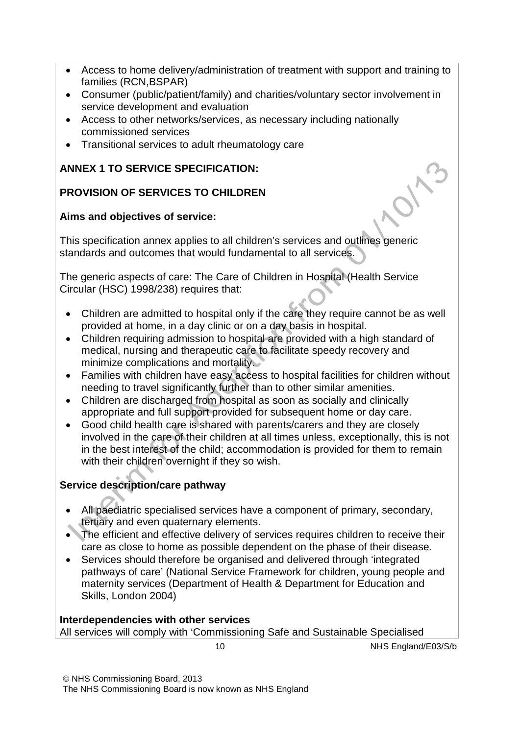- Access to home delivery/administration of treatment with support and training to families (RCN,BSPAR)
- Consumer (public/patient/family) and charities/voluntary sector involvement in service development and evaluation
- Access to other networks/services, as necessary including nationally commissioned services
- Transitional services to adult rheumatology care

### **ANNEX 1 TO SERVICE SPECIFICATION:**

### **PROVISION OF SERVICES TO CHILDREN**

### **Aims and objectives of service:**

This specification annex applies to all children's services and outlines generic standards and outcomes that would fundamental to all services.

The generic aspects of care: The Care of Children in Hospital (Health Service Circular (HSC) 1998/238) requires that:

- Children are admitted to hospital only if the care they require cannot be as well provided at home, in a day clinic or on a day basis in hospital.
- Children requiring admission to hospital are provided with a high standard of medical, nursing and therapeutic care to facilitate speedy recovery and minimize complications and mortality.
- Families with children have easy access to hospital facilities for children without needing to travel significantly further than to other similar amenities.
- Children are discharged from hospital as soon as socially and clinically appropriate and full support provided for subsequent home or day care.
- Good child health care is shared with parents/carers and they are closely involved in the care of their children at all times unless, exceptionally, this is not in the best interest of the child; accommodation is provided for them to remain with their children overnight if they so wish.

## **Service description/care pathway**

- All paediatric specialised services have a component of primary, secondary, tertiary and even quaternary elements.
- The efficient and effective delivery of services requires children to receive their care as close to home as possible dependent on the phase of their disease.
- Services should therefore be organised and delivered through 'integrated pathways of care' (National Service Framework for children, young people and maternity services (Department of Health & Department for Education and Skills, London 2004)

#### **Interdependencies with other services**

All services will comply with 'Commissioning Safe and Sustainable Specialised

$$
\mathbf{10}
$$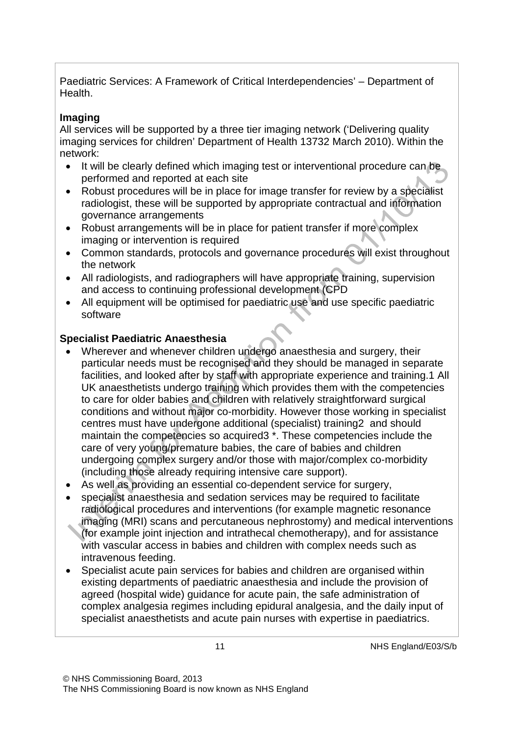Paediatric Services: A Framework of Critical Interdependencies' – Department of Health.

## **Imaging**

All services will be supported by a three tier imaging network ('Delivering quality imaging services for children' Department of Health 13732 March 2010). Within the network:

- It will be clearly defined which imaging test or interventional procedure can be performed and reported at each site
- Robust procedures will be in place for image transfer for review by a specialist radiologist, these will be supported by appropriate contractual and information governance arrangements
- Robust arrangements will be in place for patient transfer if more complex imaging or intervention is required
- Common standards, protocols and governance procedures will exist throughout the network
- All radiologists, and radiographers will have appropriate training, supervision and access to continuing professional development (CPD
- All equipment will be optimised for paediatric use and use specific paediatric software

## **Specialist Paediatric Anaesthesia**

- Wherever and whenever children undergo anaesthesia and surgery, their particular needs must be recognised and they should be managed in separate facilities, and looked after by staff with appropriate experience and training.1 All UK anaesthetists undergo training which provides them with the competencies to care for older babies and children with relatively straightforward surgical conditions and without major co-morbidity. However those working in specialist centres must have undergone additional (specialist) training2 and should maintain the competencies so acquired3 \*. These competencies include the care of very young/premature babies, the care of babies and children undergoing complex surgery and/or those with major/complex co-morbidity (including those already requiring intensive care support).
- As well as providing an essential co-dependent service for surgery,
- specialist anaesthesia and sedation services may be required to facilitate radiological procedures and interventions (for example magnetic resonance imaging (MRI) scans and percutaneous nephrostomy) and medical interventions (for example joint injection and intrathecal chemotherapy), and for assistance with vascular access in babies and children with complex needs such as intravenous feeding.
- Specialist acute pain services for babies and children are organised within existing departments of paediatric anaesthesia and include the provision of agreed (hospital wide) guidance for acute pain, the safe administration of complex analgesia regimes including epidural analgesia, and the daily input of specialist anaesthetists and acute pain nurses with expertise in paediatrics.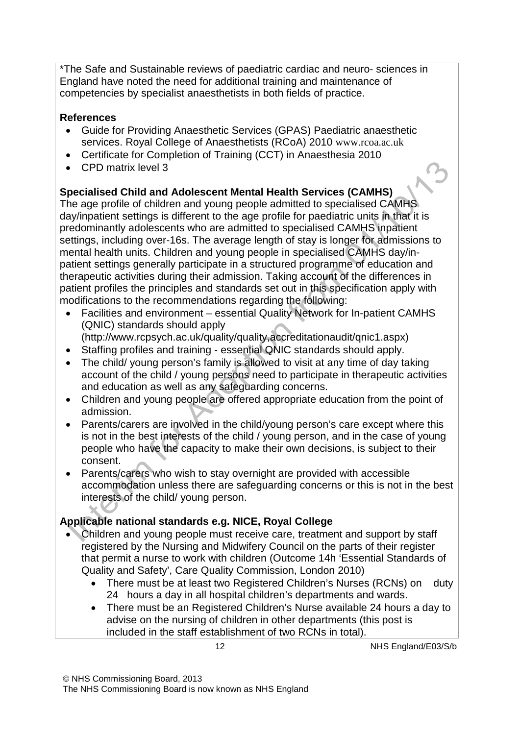\*The Safe and Sustainable reviews of paediatric cardiac and neuro- sciences in England have noted the need for additional training and maintenance of competencies by specialist anaesthetists in both fields of practice.

### **References**

- Guide for Providing Anaesthetic Services (GPAS) Paediatric anaesthetic services. Royal College of Anaesthetists (RCoA) 2010 [www.rcoa.ac.uk](http://www.rcoa.ac.uk/)
- Certificate for Completion of Training (CCT) in Anaesthesia 2010
- CPD matrix level 3

# **Specialised Child and Adolescent Mental Health Services (CAMHS)**

The age profile of children and young people admitted to specialised CAMHS day/inpatient settings is different to the age profile for paediatric units in that it is predominantly adolescents who are admitted to specialised CAMHS inpatient settings, including over-16s. The average length of stay is longer for admissions to mental health units. Children and young people in specialised CAMHS day/inpatient settings generally participate in a structured programme of education and therapeutic activities during their admission. Taking account of the differences in patient profiles the principles and standards set out in this specification apply with modifications to the recommendations regarding the following:

- Facilities and environment essential Quality Network for In-patient CAMHS (QNIC) standards should apply
- (http://www.rcpsych.ac.uk/quality/quality,accreditationaudit/qnic1.aspx)
- Staffing profiles and training essential QNIC standards should apply.
- The child/ young person's family is allowed to visit at any time of day taking account of the child / young persons need to participate in therapeutic activities and education as well as any safeguarding concerns.
- Children and young people are offered appropriate education from the point of admission.
- Parents/carers are involved in the child/young person's care except where this is not in the best interests of the child / young person, and in the case of young people who have the capacity to make their own decisions, is subject to their consent.
- Parents/carers who wish to stay overnight are provided with accessible accommodation unless there are safeguarding concerns or this is not in the best interests of the child/ young person.

## **Applicable national standards e.g. NICE, Royal College**

- Children and young people must receive care, treatment and support by staff registered by the Nursing and Midwifery Council on the parts of their register that permit a nurse to work with children (Outcome 14h 'Essential Standards of Quality and Safety', Care Quality Commission, London 2010)
	- There must be at least two Registered Children's Nurses (RCNs) on duty 24 hours a day in all hospital children's departments and wards.
	- There must be an Registered Children's Nurse available 24 hours a day to advise on the nursing of children in other departments (this post is included in the staff establishment of two RCNs in total).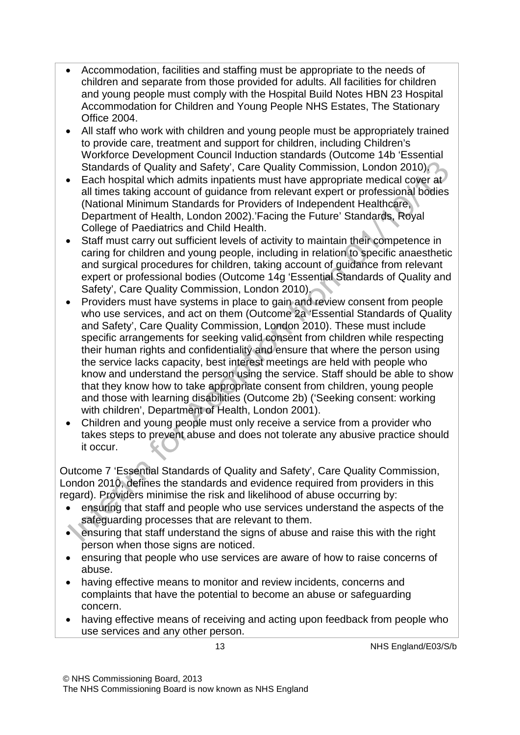- Accommodation, facilities and staffing must be appropriate to the needs of children and separate from those provided for adults. All facilities for children and young people must comply with the Hospital Build Notes HBN 23 Hospital Accommodation for Children and Young People NHS Estates, The Stationary Office 2004.
- All staff who work with children and young people must be appropriately trained to provide care, treatment and support for children, including Children's Workforce Development Council Induction standards (Outcome 14b 'Essential Standards of Quality and Safety', Care Quality Commission, London 2010).
- Each hospital which admits inpatients must have appropriate medical cover at all times taking account of guidance from relevant expert or professional bodies (National Minimum Standards for Providers of Independent Healthcare, Department of Health, London 2002).'Facing the Future' Standards, Royal College of Paediatrics and Child Health.
- Staff must carry out sufficient levels of activity to maintain their competence in caring for children and young people, including in relation to specific anaesthetic and surgical procedures for children, taking account of guidance from relevant expert or professional bodies (Outcome 14g 'Essential Standards of Quality and Safety', Care Quality Commission, London 2010).
- Providers must have systems in place to gain and review consent from people who use services, and act on them (Outcome 2a 'Essential Standards of Quality and Safety', Care Quality Commission, London 2010). These must include specific arrangements for seeking valid consent from children while respecting their human rights and confidentiality and ensure that where the person using the service lacks capacity, best interest meetings are held with people who know and understand the person using the service. Staff should be able to show that they know how to take appropriate consent from children, young people and those with learning disabilities (Outcome 2b) ('Seeking consent: working with children', Department of Health, London 2001).
- Children and young people must only receive a service from a provider who takes steps to prevent abuse and does not tolerate any abusive practice should it occur.

Outcome 7 'Essential Standards of Quality and Safety', Care Quality Commission, London 2010, defines the standards and evidence required from providers in this regard). Providers minimise the risk and likelihood of abuse occurring by:

- ensuring that staff and people who use services understand the aspects of the safeguarding processes that are relevant to them.
- ensuring that staff understand the signs of abuse and raise this with the right person when those signs are noticed.
- ensuring that people who use services are aware of how to raise concerns of abuse.
- having effective means to monitor and review incidents, concerns and complaints that have the potential to become an abuse or safeguarding concern.
- having effective means of receiving and acting upon feedback from people who use services and any other person.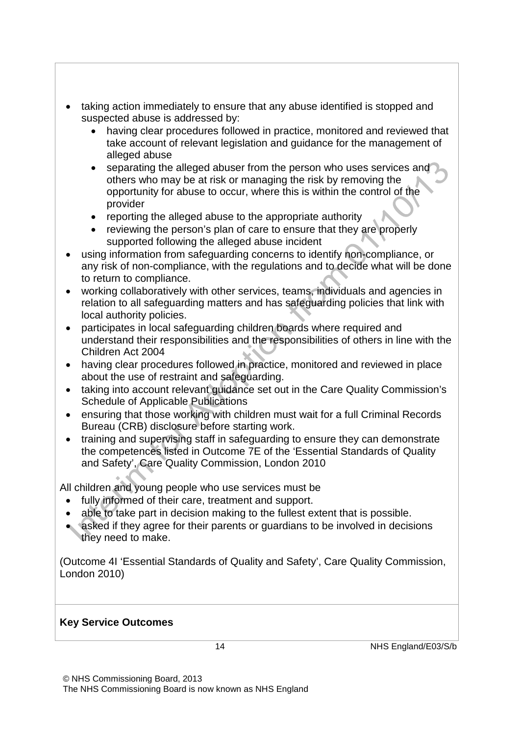- taking action immediately to ensure that any abuse identified is stopped and suspected abuse is addressed by:
	- having clear procedures followed in practice, monitored and reviewed that take account of relevant legislation and guidance for the management of alleged abuse
	- separating the alleged abuser from the person who uses services and others who may be at risk or managing the risk by removing the opportunity for abuse to occur, where this is within the control of the provider
	- reporting the alleged abuse to the appropriate authority
	- reviewing the person's plan of care to ensure that they are properly supported following the alleged abuse incident
- using information from safeguarding concerns to identify non-compliance, or any risk of non-compliance, with the regulations and to decide what will be done to return to compliance.
- working collaboratively with other services, teams, individuals and agencies in relation to all safeguarding matters and has safeguarding policies that link with local authority policies.
- participates in local safeguarding children boards where required and understand their responsibilities and the responsibilities of others in line with the Children Act 2004
- having clear procedures followed in practice, monitored and reviewed in place about the use of restraint and safeguarding.
- taking into account relevant guidance set out in the Care Quality Commission's Schedule of Applicable Publications
- ensuring that those working with children must wait for a full Criminal Records Bureau (CRB) disclosure before starting work.
- training and supervising staff in safeguarding to ensure they can demonstrate the competences listed in Outcome 7E of the 'Essential Standards of Quality and Safety', Care Quality Commission, London 2010

All children and young people who use services must be

- fully informed of their care, treatment and support.
- able to take part in decision making to the fullest extent that is possible.
- asked if they agree for their parents or guardians to be involved in decisions they need to make.

(Outcome 4I 'Essential Standards of Quality and Safety', Care Quality Commission, London 2010)

### **Key Service Outcomes**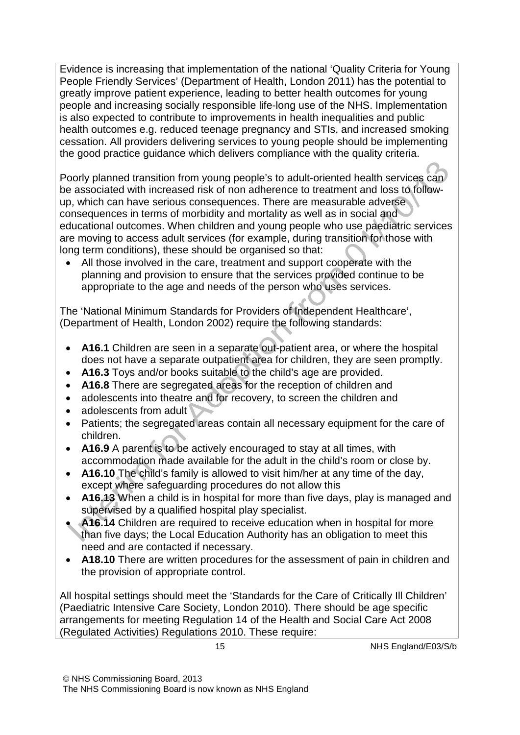Evidence is increasing that implementation of the national 'Quality Criteria for Young People Friendly Services' (Department of Health, London 2011) has the potential to greatly improve patient experience, leading to better health outcomes for young people and increasing socially responsible life-long use of the NHS. Implementation is also expected to contribute to improvements in health inequalities and public health outcomes e.g. reduced teenage pregnancy and STIs, and increased smoking cessation. All providers delivering services to young people should be implementing the good practice guidance which delivers compliance with the quality criteria.

Poorly planned transition from young people's to adult-oriented health services can be associated with increased risk of non adherence to treatment and loss to followup, which can have serious consequences. There are measurable adverse consequences in terms of morbidity and mortality as well as in social and educational outcomes. When children and young people who use paediatric services are moving to access adult services (for example, during transition for those with long term conditions), these should be organised so that:

• All those involved in the care, treatment and support cooperate with the planning and provision to ensure that the services provided continue to be appropriate to the age and needs of the person who uses services.

The 'National Minimum Standards for Providers of Independent Healthcare', (Department of Health, London 2002) require the following standards:

- **A16.1** Children are seen in a separate out-patient area, or where the hospital does not have a separate outpatient area for children, they are seen promptly.
- **A16.3** Toys and/or books suitable to the child's age are provided.
- **A16.8** There are segregated areas for the reception of children and
- adolescents into theatre and for recovery, to screen the children and
- adolescents from adult
- Patients; the segregated areas contain all necessary equipment for the care of children.
- **A16.9** A parent is to be actively encouraged to stay at all times, with accommodation made available for the adult in the child's room or close by.
- **A16.10** The child's family is allowed to visit him/her at any time of the day, except where safeguarding procedures do not allow this
- **A16.13** When a child is in hospital for more than five days, play is managed and supervised by a qualified hospital play specialist.
- **A16.14** Children are required to receive education when in hospital for more than five days; the Local Education Authority has an obligation to meet this need and are contacted if necessary.
- **A18.10** There are written procedures for the assessment of pain in children and the provision of appropriate control.

All hospital settings should meet the 'Standards for the Care of Critically Ill Children' (Paediatric Intensive Care Society, London 2010). There should be age specific arrangements for meeting Regulation 14 of the Health and Social Care Act 2008 (Regulated Activities) Regulations 2010. These require: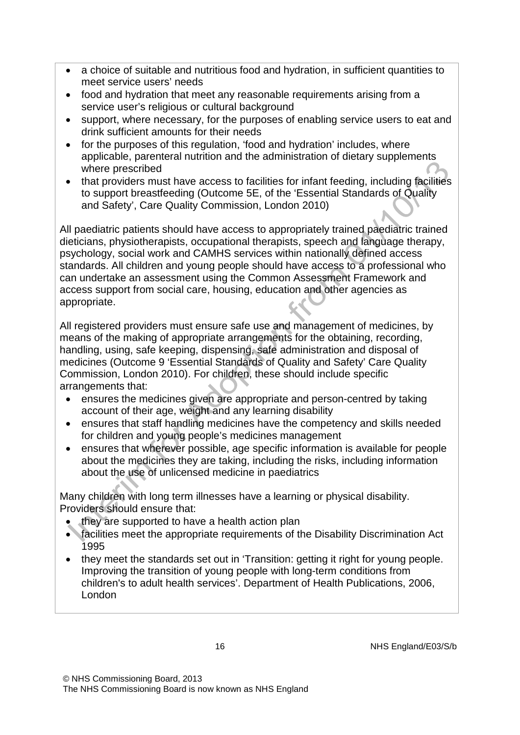- a choice of suitable and nutritious food and hydration, in sufficient quantities to meet service users' needs
- food and hydration that meet any reasonable requirements arising from a service user's religious or cultural background
- support, where necessary, for the purposes of enabling service users to eat and drink sufficient amounts for their needs
- for the purposes of this regulation, 'food and hydration' includes, where applicable, parenteral nutrition and the administration of dietary supplements where prescribed
- that providers must have access to facilities for infant feeding, including facilities to support breastfeeding (Outcome 5E, of the 'Essential Standards of Quality and Safety', Care Quality Commission, London 2010)

All paediatric patients should have access to appropriately trained paediatric trained dieticians, physiotherapists, occupational therapists, speech and language therapy, psychology, social work and CAMHS services within nationally defined access standards. All children and young people should have access to a professional who can undertake an assessment using the Common Assessment Framework and access support from social care, housing, education and other agencies as appropriate.

All registered providers must ensure safe use and management of medicines, by means of the making of appropriate arrangements for the obtaining, recording, handling, using, safe keeping, dispensing, safe administration and disposal of medicines (Outcome 9 'Essential Standards of Quality and Safety' Care Quality Commission, London 2010). For children, these should include specific arrangements that:

- ensures the medicines given are appropriate and person-centred by taking account of their age, weight and any learning disability
- ensures that staff handling medicines have the competency and skills needed for children and young people's medicines management
- ensures that wherever possible, age specific information is available for people about the medicines they are taking, including the risks, including information about the use of unlicensed medicine in paediatrics

Many children with long term illnesses have a learning or physical disability. Providers should ensure that:

- they are supported to have a health action plan
- facilities meet the appropriate requirements of the Disability Discrimination Act 1995
- they meet the standards set out in 'Transition: getting it right for young people. Improving the transition of young people with long-term conditions from children's to adult health services'. Department of Health Publications, 2006, London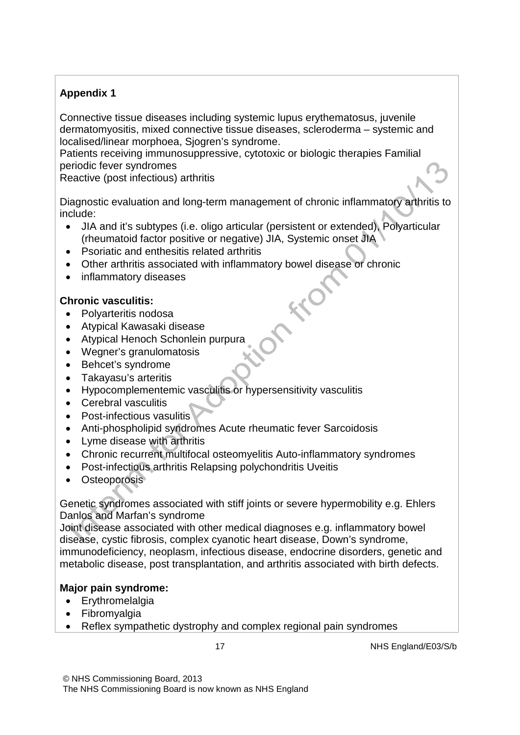### **Appendix 1**

Connective tissue diseases including systemic lupus erythematosus, juvenile dermatomyositis, mixed connective tissue diseases, scleroderma – systemic and localised/linear morphoea, Sjogren's syndrome.

Patients receiving immunosuppressive, cytotoxic or biologic therapies Familial periodic fever syndromes

Reactive (post infectious) arthritis

Diagnostic evaluation and long-term management of chronic inflammatory arthritis to include:

- JIA and it's subtypes (i.e. oligo articular (persistent or extended), Polyarticular (rheumatoid factor positive or negative) JIA, Systemic onset JIA
- Psoriatic and enthesitis related arthritis
- Other arthritis associated with inflammatory bowel disease or chronic
- inflammatory diseases

### **Chronic vasculitis:**

- Polyarteritis nodosa
- Atypical Kawasaki disease
- Atypical Henoch Schonlein purpura
- Wegner's granulomatosis
- Behcet's syndrome
- Takayasu's arteritis
- Hypocomplementemic vasculitis or hypersensitivity vasculitis
- Cerebral vasculitis
- Post-infectious vasulitis
- Anti-phospholipid syndromes Acute rheumatic fever Sarcoidosis
- Lyme disease with arthritis
- Chronic recurrent multifocal osteomyelitis Auto-inflammatory syndromes
- Post-infectious arthritis Relapsing polychondritis Uveitis
- Osteoporosis

Genetic syndromes associated with stiff joints or severe hypermobility e.g. Ehlers Danlos and Marfan's syndrome

Joint disease associated with other medical diagnoses e.g. inflammatory bowel disease, cystic fibrosis, complex cyanotic heart disease, Down's syndrome, immunodeficiency, neoplasm, infectious disease, endocrine disorders, genetic and metabolic disease, post transplantation, and arthritis associated with birth defects.

## **Major pain syndrome:**

- Erythromelalgia
- Fibromyalgia
- Reflex sympathetic dystrophy and complex regional pain syndromes